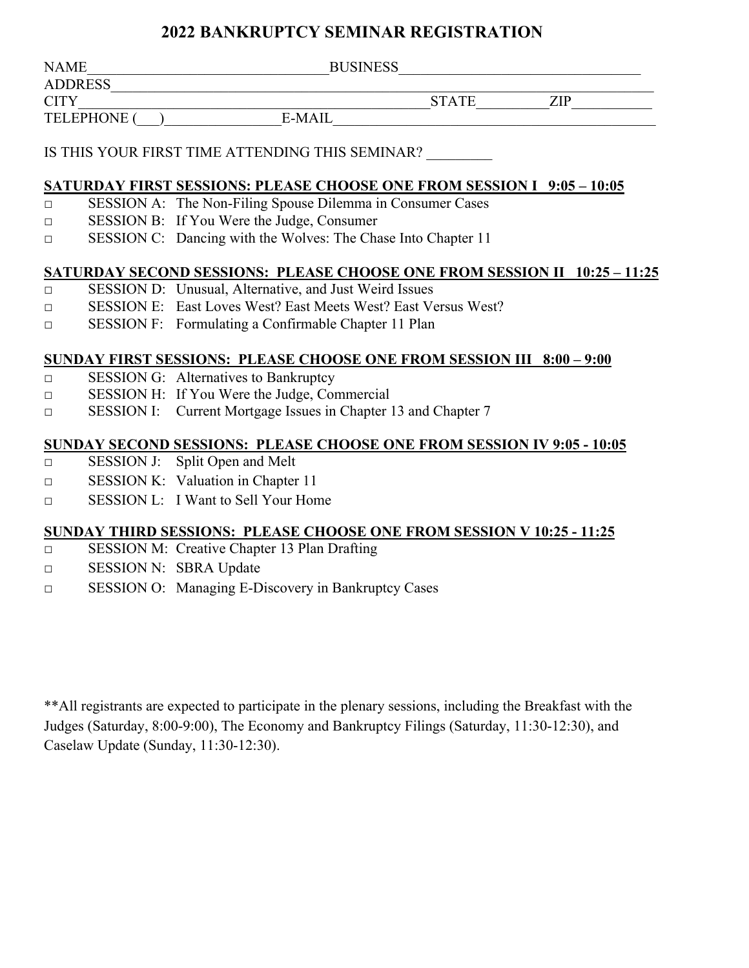| <b>NAME</b>        | <b>BUSINESS</b> |              |       |  |
|--------------------|-----------------|--------------|-------|--|
| <b>ADDRESS</b>     |                 |              |       |  |
| <b>CITY</b>        |                 | <b>STATE</b> | 7JP - |  |
| <b>TELEPHONE (</b> | <b>E-MAIL</b>   |              |       |  |

### IS THIS YOUR FIRST TIME ATTENDING THIS SEMINAR?

#### **SATURDAY FIRST SESSIONS: PLEASE CHOOSE ONE FROM SESSION I 9:05 – 10:05**

- □ SESSION A: The Non-Filing Spouse Dilemma in Consumer Cases
- □ SESSION B: If You Were the Judge, Consumer
- □ SESSION C: Dancing with the Wolves: The Chase Into Chapter 11

#### **SATURDAY SECOND SESSIONS: PLEASE CHOOSE ONE FROM SESSION II 10:25 – 11:25**

- □ SESSION D: Unusual, Alternative, and Just Weird Issues
- □ SESSION E: East Loves West? East Meets West? East Versus West?
- □ SESSION F: Formulating a Confirmable Chapter 11 Plan

### **SUNDAY FIRST SESSIONS: PLEASE CHOOSE ONE FROM SESSION III 8:00 – 9:00**

- □ SESSION G: Alternatives to Bankruptcy
- □ SESSION H: If You Were the Judge, Commercial
- □ SESSION I: Current Mortgage Issues in Chapter 13 and Chapter 7

#### **SUNDAY SECOND SESSIONS: PLEASE CHOOSE ONE FROM SESSION IV 9:05 - 10:05**

- □ SESSION J: Split Open and Melt
- □ SESSION K: Valuation in Chapter 11
- □ SESSION L: I Want to Sell Your Home

#### **SUNDAY THIRD SESSIONS: PLEASE CHOOSE ONE FROM SESSION V 10:25 - 11:25**

- □ SESSION M: Creative Chapter 13 Plan Drafting
- □ SESSION N: SBRA Update
- □ SESSION O: Managing E-Discovery in Bankruptcy Cases

\*\*All registrants are expected to participate in the plenary sessions, including the Breakfast with the Judges (Saturday, 8:00-9:00), The Economy and Bankruptcy Filings (Saturday, 11:30-12:30), and Caselaw Update (Sunday, 11:30-12:30).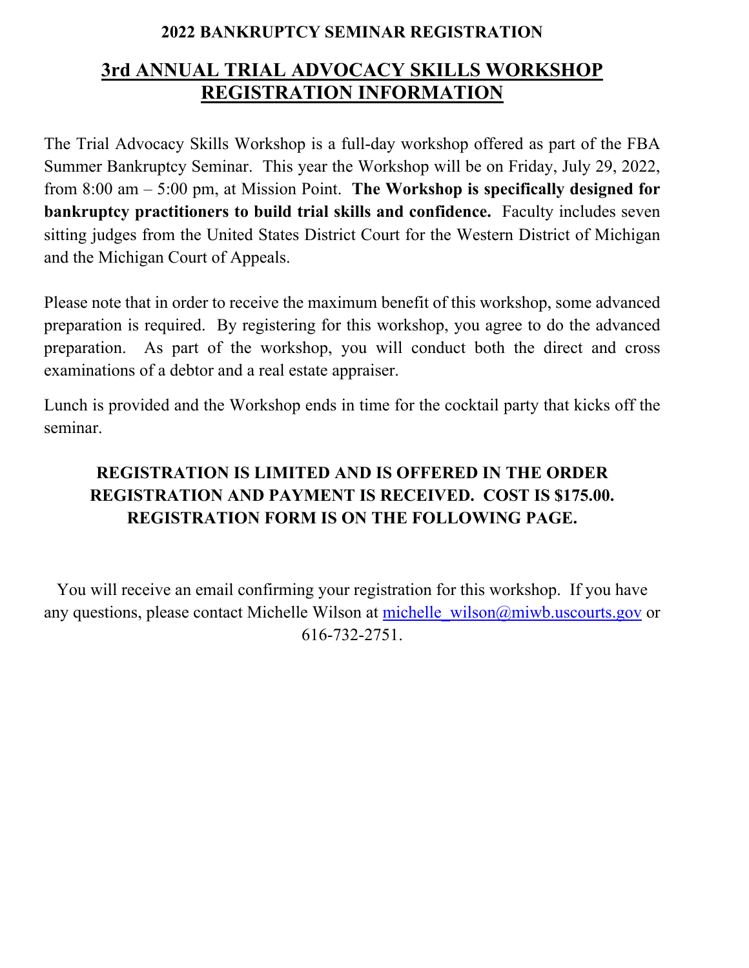# **3rd ANNUAL TRIAL ADVOCACY SKILLS WORKSHOP REGISTRATION INFORMATION**

The Trial Advocacy Skills Workshop is a full-day workshop offered as part of the FBA Summer Bankruptcy Seminar. This year the Workshop will be on Friday, July 29, 2022, from 8:00 am – 5:00 pm, at Mission Point. **The Workshop is specifically designed for bankruptcy practitioners to build trial skills and confidence.** Faculty includes seven sitting judges from the United States District Court for the Western District of Michigan and the Michigan Court of Appeals.

Please note that in order to receive the maximum benefit of this workshop, some advanced preparation is required. By registering for this workshop, you agree to do the advanced preparation. As part of the workshop, you will conduct both the direct and cross examinations of a debtor and a real estate appraiser.

Lunch is provided and the Workshop ends in time for the cocktail party that kicks off the seminar.

## **REGISTRATION IS LIMITED AND IS OFFERED IN THE ORDER REGISTRATION AND PAYMENT IS RECEIVED. COST IS \$175.00. REGISTRATION FORM IS ON THE FOLLOWING PAGE.**

You will receive an email confirming your registration for this workshop. If you have any questions, please contact Michelle Wilson at michelle wilson@miwb.uscourts.gov or 616-732-2751.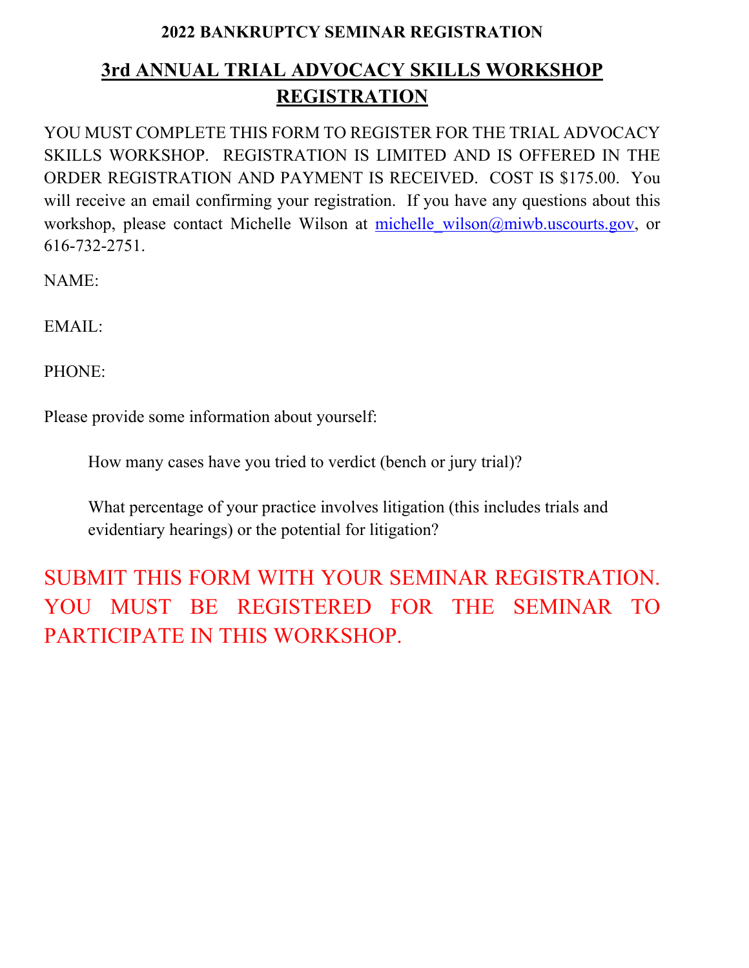# **3rd ANNUAL TRIAL ADVOCACY SKILLS WORKSHOP REGISTRATION**

YOU MUST COMPLETE THIS FORM TO REGISTER FOR THE TRIAL ADVOCACY SKILLS WORKSHOP. REGISTRATION IS LIMITED AND IS OFFERED IN THE ORDER REGISTRATION AND PAYMENT IS RECEIVED. COST IS \$175.00. You will receive an email confirming your registration. If you have any questions about this workshop, please contact Michelle Wilson at michelle wilson@miwb.uscourts.gov, or 616-732-2751.

NAME:

EMAIL:

PHONE:

Please provide some information about yourself:

How many cases have you tried to verdict (bench or jury trial)?

What percentage of your practice involves litigation (this includes trials and evidentiary hearings) or the potential for litigation?

SUBMIT THIS FORM WITH YOUR SEMINAR REGISTRATION. YOU MUST BE REGISTERED FOR THE SEMINAR TO PARTICIPATE IN THIS WORKSHOP.